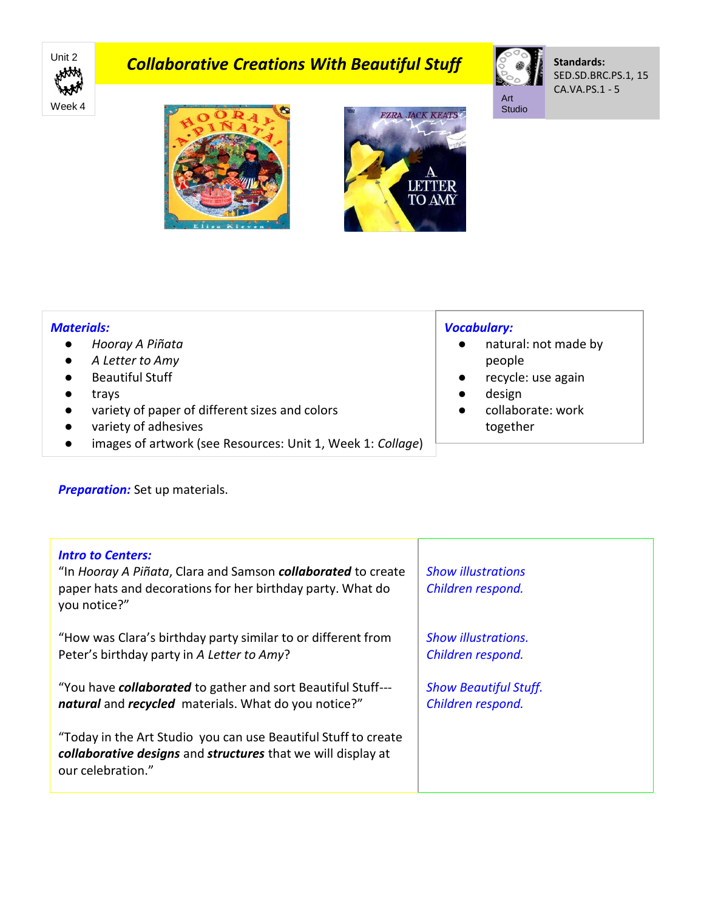

# **Collaborative Creations With Beautiful Stuff**



**Standards:** SED.SD.BRC.PS.1, 15 CA.VA.PS.1 - 5





#### *Materials:*

- *Hooray A Piñata*
- *A Letter to Amy*
- Beautiful Stuff
- trays
- variety of paper of different sizes and colors
- variety of adhesives
- images of artwork (see Resources: Unit 1, Week 1: *Collage*)

## *Vocabulary:*

- natural: not made by people
- recycle: use again
- design
- collaborate: work together

**Preparation:** Set up materials.

| <b>Intro to Centers:</b><br>"In Hooray A Piñata, Clara and Samson <b>collaborated</b> to create<br>paper hats and decorations for her birthday party. What do<br>you notice?" | <b>Show illustrations</b><br>Children respond. |
|-------------------------------------------------------------------------------------------------------------------------------------------------------------------------------|------------------------------------------------|
| "How was Clara's birthday party similar to or different from                                                                                                                  | <b>Show illustrations.</b>                     |
| Peter's birthday party in A Letter to Amy?                                                                                                                                    | Children respond.                              |
| "You have <b>collaborated</b> to gather and sort Beautiful Stuff---                                                                                                           | <b>Show Beautiful Stuff.</b>                   |
| natural and recycled materials. What do you notice?"                                                                                                                          | Children respond.                              |
| "Today in the Art Studio you can use Beautiful Stuff to create<br>collaborative designs and structures that we will display at<br>our celebration."                           |                                                |